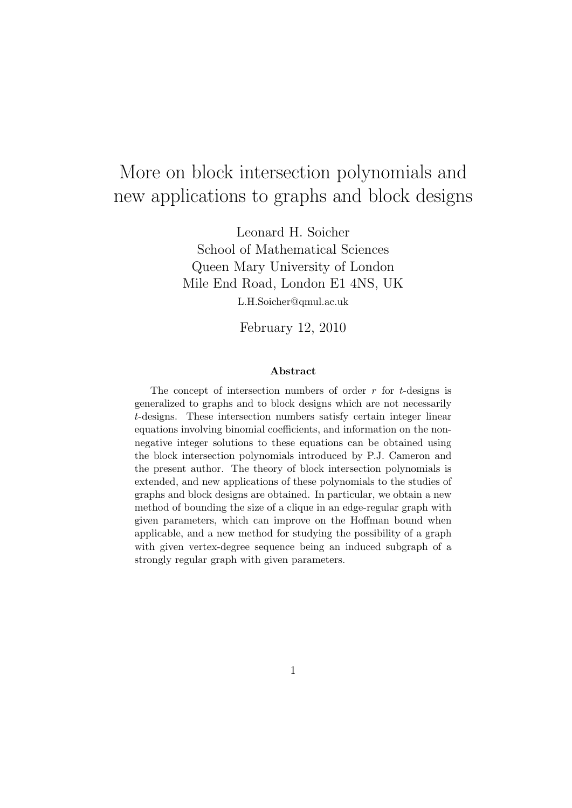# More on block intersection polynomials and new applications to graphs and block designs

Leonard H. Soicher School of Mathematical Sciences Queen Mary University of London Mile End Road, London E1 4NS, UK L.H.Soicher@qmul.ac.uk

February 12, 2010

#### Abstract

The concept of intersection numbers of order  $r$  for  $t$ -designs is generalized to graphs and to block designs which are not necessarily t-designs. These intersection numbers satisfy certain integer linear equations involving binomial coefficients, and information on the nonnegative integer solutions to these equations can be obtained using the block intersection polynomials introduced by P.J. Cameron and the present author. The theory of block intersection polynomials is extended, and new applications of these polynomials to the studies of graphs and block designs are obtained. In particular, we obtain a new method of bounding the size of a clique in an edge-regular graph with given parameters, which can improve on the Hoffman bound when applicable, and a new method for studying the possibility of a graph with given vertex-degree sequence being an induced subgraph of a strongly regular graph with given parameters.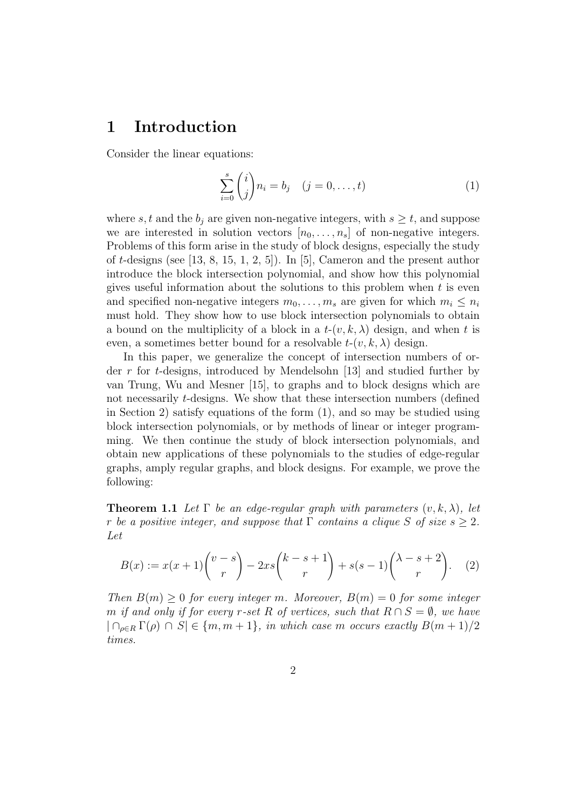## 1 Introduction

Consider the linear equations:

$$
\sum_{i=0}^{s} {i \choose j} n_i = b_j \quad (j = 0, ..., t)
$$
 (1)

where s, t and the  $b_j$  are given non-negative integers, with  $s \geq t$ , and suppose we are interested in solution vectors  $[n_0, \ldots, n_s]$  of non-negative integers. Problems of this form arise in the study of block designs, especially the study of t-designs (see [13, 8, 15, 1, 2, 5]). In [5], Cameron and the present author introduce the block intersection polynomial, and show how this polynomial gives useful information about the solutions to this problem when  $t$  is even and specified non-negative integers  $m_0, \ldots, m_s$  are given for which  $m_i \leq n_i$ must hold. They show how to use block intersection polynomials to obtain a bound on the multiplicity of a block in a  $t-(v, k, \lambda)$  design, and when t is even, a sometimes better bound for a resolvable  $t-(v, k, \lambda)$  design.

In this paper, we generalize the concept of intersection numbers of order r for t-designs, introduced by Mendelsohn [13] and studied further by van Trung, Wu and Mesner [15], to graphs and to block designs which are not necessarily *t*-designs. We show that these intersection numbers (defined in Section 2) satisfy equations of the form (1), and so may be studied using block intersection polynomials, or by methods of linear or integer programming. We then continue the study of block intersection polynomials, and obtain new applications of these polynomials to the studies of edge-regular graphs, amply regular graphs, and block designs. For example, we prove the following:

**Theorem 1.1** Let  $\Gamma$  be an edge-regular graph with parameters  $(v, k, \lambda)$ , let r be a positive integer, and suppose that  $\Gamma$  contains a clique S of size  $s \geq 2$ . Let

$$
B(x) := x(x+1)\binom{v-s}{r} - 2xs\binom{k-s+1}{r} + s(s-1)\binom{\lambda-s+2}{r}.
$$
 (2)

Then  $B(m) \geq 0$  for every integer m. Moreover,  $B(m) = 0$  for some integer m if and only if for every r-set R of vertices, such that  $R \cap S = \emptyset$ , we have  $|\bigcap_{\rho \in R} \Gamma(\rho) \cap S| \in \{m, m+1\}, \text{ in which case } m \text{ occurs exactly } B(m+1)/2$ times.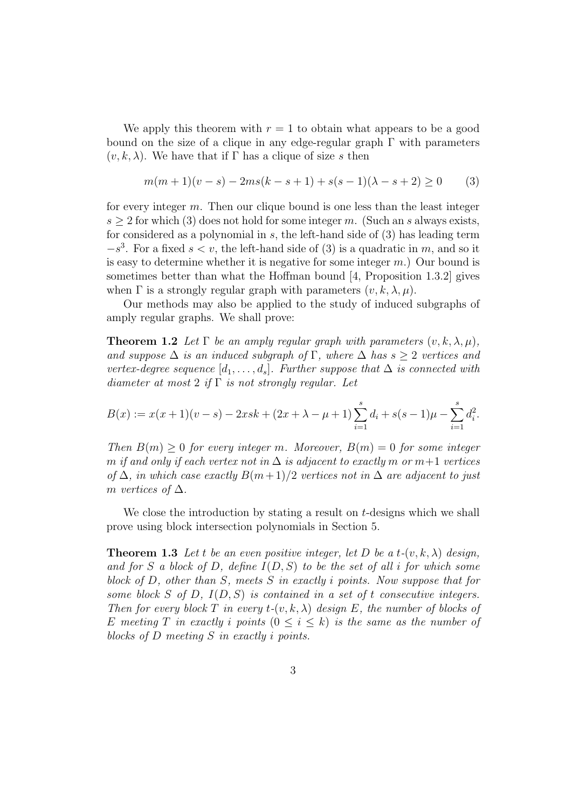We apply this theorem with  $r = 1$  to obtain what appears to be a good bound on the size of a clique in any edge-regular graph  $\Gamma$  with parameters  $(v, k, \lambda)$ . We have that if Γ has a clique of size s then

$$
m(m+1)(v-s) - 2ms(k-s+1) + s(s-1)(\lambda - s + 2) \ge 0
$$
 (3)

for every integer m. Then our clique bound is one less than the least integer  $s \geq 2$  for which (3) does not hold for some integer m. (Such an s always exists, for considered as a polynomial in  $s$ , the left-hand side of  $(3)$  has leading term  $-s<sup>3</sup>$ . For a fixed  $s < v$ , the left-hand side of (3) is a quadratic in m, and so it is easy to determine whether it is negative for some integer  $m$ .) Our bound is sometimes better than what the Hoffman bound [4, Proposition 1.3.2] gives when  $\Gamma$  is a strongly regular graph with parameters  $(v, k, \lambda, \mu)$ .

Our methods may also be applied to the study of induced subgraphs of amply regular graphs. We shall prove:

**Theorem 1.2** Let  $\Gamma$  be an amply regular graph with parameters  $(v, k, \lambda, \mu)$ , and suppose  $\Delta$  is an induced subgraph of  $\Gamma$ , where  $\Delta$  has  $s \geq 2$  vertices and vertex-degree sequence  $[d_1, \ldots, d_s]$ . Further suppose that  $\Delta$  is connected with diameter at most 2 if  $\Gamma$  is not strongly regular. Let

$$
B(x) := x(x+1)(v-s) - 2xsk + (2x + \lambda - \mu + 1) \sum_{i=1}^{s} d_i + s(s-1)\mu - \sum_{i=1}^{s} d_i^2.
$$

Then  $B(m) \geq 0$  for every integer m. Moreover,  $B(m) = 0$  for some integer m if and only if each vertex not in  $\Delta$  is adjacent to exactly m or  $m+1$  vertices of  $\Delta$ , in which case exactly  $B(m+1)/2$  vertices not in  $\Delta$  are adjacent to just m vertices of  $\Delta$ .

We close the introduction by stating a result on t-designs which we shall prove using block intersection polynomials in Section 5.

**Theorem 1.3** Let t be an even positive integer, let D be a t- $(v, k, \lambda)$  design, and for S a block of D, define  $I(D, S)$  to be the set of all i for which some block of D, other than S, meets S in exactly i points. Now suppose that for some block S of D,  $I(D, S)$  is contained in a set of t consecutive integers. Then for every block T in every  $t-(v, k, \lambda)$  design E, the number of blocks of E meeting T in exactly i points  $(0 \le i \le k)$  is the same as the number of blocks of D meeting S in exactly i points.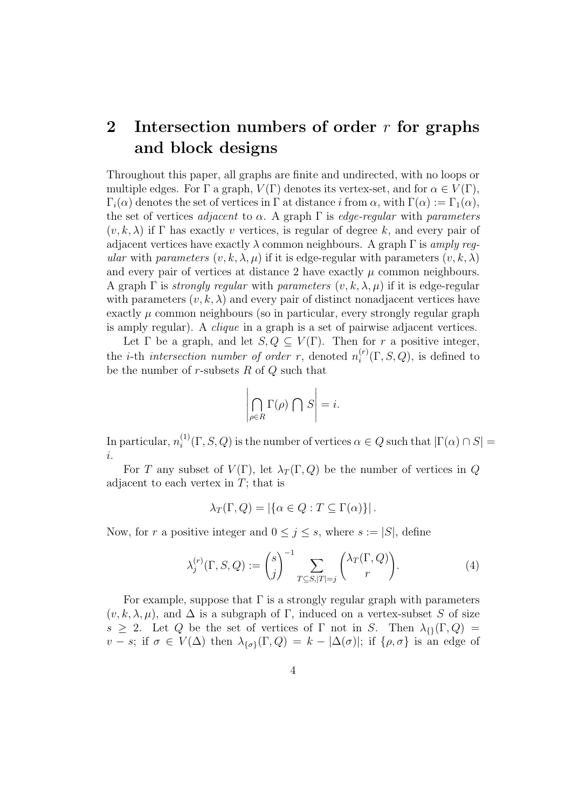## 2 Intersection numbers of order  $r$  for graphs and block designs

Throughout this paper, all graphs are finite and undirected, with no loops or multiple edges. For  $\Gamma$  a graph,  $V(\Gamma)$  denotes its vertex-set, and for  $\alpha \in V(\Gamma)$ ,  $\Gamma_i(\alpha)$  denotes the set of vertices in  $\Gamma$  at distance i from  $\alpha$ , with  $\Gamma(\alpha) := \Gamma_1(\alpha)$ , the set of vertices *adjacent* to  $\alpha$ . A graph  $\Gamma$  is *edge-regular* with *parameters*  $(v, k, \lambda)$  if  $\Gamma$  has exactly v vertices, is regular of degree k, and every pair of adjacent vertices have exactly  $\lambda$  common neighbours. A graph  $\Gamma$  is amply regular with parameters  $(v, k, \lambda, \mu)$  if it is edge-regular with parameters  $(v, k, \lambda)$ and every pair of vertices at distance 2 have exactly  $\mu$  common neighbours. A graph  $\Gamma$  is *strongly regular* with *parameters*  $(v, k, \lambda, \mu)$  if it is edge-regular with parameters  $(v, k, \lambda)$  and every pair of distinct nonadjacent vertices have exactly  $\mu$  common neighbours (so in particular, every strongly regular graph is amply regular). A clique in a graph is a set of pairwise adjacent vertices.

Let  $\Gamma$  be a graph, and let  $S, Q \subset V(\Gamma)$ . Then for r a positive integer, the *i*-th *intersection number of order r*, denoted  $n_i^{(r)}$  $i_i^{(r)}(\Gamma, S, Q)$ , is defined to be the number of  $r$ -subsets  $R$  of  $Q$  such that

$$
\left|\bigcap_{\rho\in R} \Gamma(\rho) \bigcap S\right| = i.
$$

In particular,  $n_i^{(1)}$  $i^{(1)}(\Gamma, S, Q)$  is the number of vertices  $\alpha \in Q$  such that  $|\Gamma(\alpha) \cap S|$  = i.

For T any subset of  $V(\Gamma)$ , let  $\lambda_T(\Gamma,Q)$  be the number of vertices in Q adjacent to each vertex in  $T$ ; that is

$$
\lambda_T(\Gamma, Q) = |\{\alpha \in Q : T \subseteq \Gamma(\alpha)\}|.
$$

Now, for r a positive integer and  $0 \leq j \leq s$ , where  $s := |S|$ , define

$$
\lambda_j^{(r)}(\Gamma, S, Q) := \binom{s}{j}^{-1} \sum_{T \subseteq S, |T| = j} \binom{\lambda_T(\Gamma, Q)}{r}.
$$
 (4)

For example, suppose that  $\Gamma$  is a strongly regular graph with parameters  $(v, k, \lambda, \mu)$ , and  $\Delta$  is a subgraph of Γ, induced on a vertex-subset S of size s  $\geq$  2. Let Q be the set of vertices of  $\Gamma$  not in S. Then  $\lambda_{\{1\}}(\Gamma,Q)$  =  $v - s$ ; if  $\sigma \in V(\Delta)$  then  $\lambda_{\{\sigma\}}(\Gamma, Q) = k - |\Delta(\sigma)|$ ; if  $\{\rho, \sigma\}$  is an edge of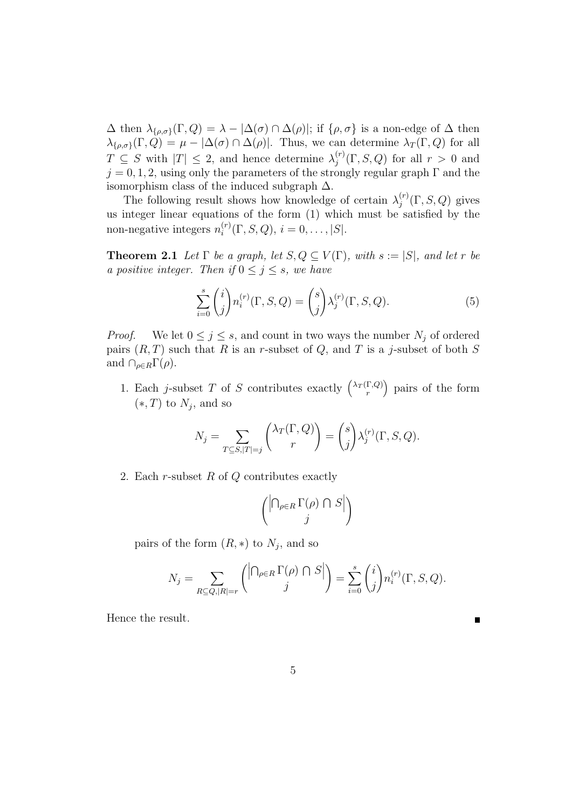$\Delta$  then  $\lambda_{\{\rho,\sigma\}}(\Gamma,Q) = \lambda - |\Delta(\sigma) \cap \Delta(\rho)|$ ; if  $\{\rho,\sigma\}$  is a non-edge of  $\Delta$  then  $\lambda_{\{\rho,\sigma\}}(\Gamma,Q) = \mu - |\Delta(\sigma) \cap \Delta(\rho)|$ . Thus, we can determine  $\lambda_T(\Gamma,Q)$  for all  $T \subseteq S$  with  $|T| \leq 2$ , and hence determine  $\lambda_i^{(r)}$  $j^{(r)}(\Gamma, S, Q)$  for all  $r > 0$  and  $j = 0, 1, 2$ , using only the parameters of the strongly regular graph  $\Gamma$  and the isomorphism class of the induced subgraph  $\Delta$ .

The following result shows how knowledge of certain  $\lambda_i^{(r)}$  $j^{(r)}(\Gamma, S, Q)$  gives us integer linear equations of the form (1) which must be satisfied by the non-negative integers  $n_i^{(r)}$  $i_i^{(r)}(\Gamma, S, Q), i = 0, \ldots, |S|.$ 

**Theorem 2.1** Let  $\Gamma$  be a graph, let  $S, Q \subseteq V(\Gamma)$ , with  $s := |S|$ , and let r be a positive integer. Then if  $0 \leq j \leq s$ , we have

$$
\sum_{i=0}^{s} {i \choose j} n_i^{(r)}(\Gamma, S, Q) = {s \choose j} \lambda_j^{(r)}(\Gamma, S, Q). \tag{5}
$$

*Proof.* We let  $0 \leq j \leq s$ , and count in two ways the number  $N_j$  of ordered pairs  $(R, T)$  such that R is an r-subset of Q, and T is a j-subset of both S and  $\cap_{\rho \in R} \Gamma(\rho)$ .

1. Each *j*-subset T of S contributes exactly  $\binom{\lambda_T(\Gamma,Q)}{r}$ r pairs of the form  $(*, T)$  to  $N_j$ , and so

$$
N_j = \sum_{T \subseteq S, |T|=j} \binom{\lambda_T(\Gamma, Q)}{r} = \binom{s}{j} \lambda_j^{(r)}(\Gamma, S, Q).
$$

2. Each r-subset R of Q contributes exactly

$$
\binom{\left|\bigcap_{\rho\in R}\Gamma(\rho)\,\cap\,S\right|}{j}
$$

pairs of the form  $(R,*)$  to  $N_j$ , and so

$$
N_j = \sum_{R \subseteq Q, |R|=r} \left( \left| \bigcap_{\rho \in R} \Gamma(\rho) \cap S \right| \right) = \sum_{i=0}^s \binom{i}{j} n_i^{(r)}(\Gamma, S, Q).
$$

Hence the result.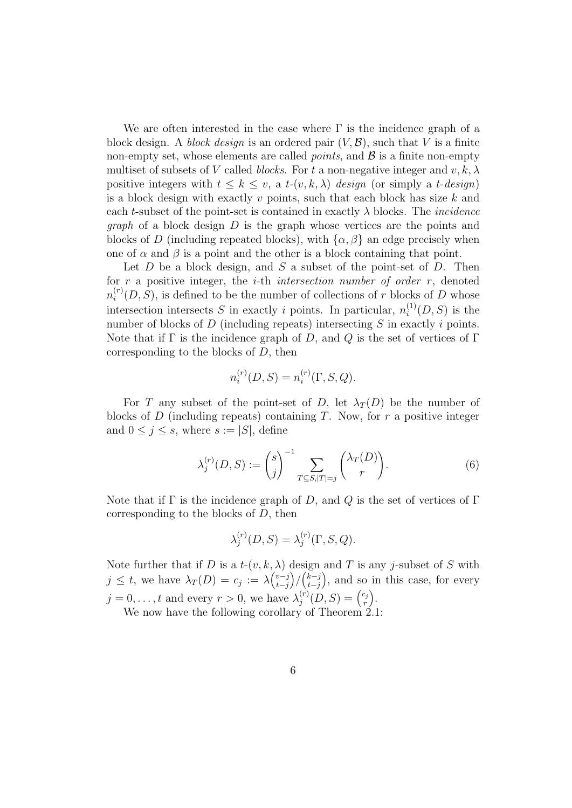We are often interested in the case where  $\Gamma$  is the incidence graph of a block design. A block design is an ordered pair  $(V, \mathcal{B})$ , such that V is a finite non-empty set, whose elements are called *points*, and  $\mathcal{B}$  is a finite non-empty multiset of subsets of V called blocks. For t a non-negative integer and  $v, k, \lambda$ positive integers with  $t \leq k \leq v$ , a  $t$ - $(v, k, \lambda)$  design (or simply a  $t$ -design) is a block design with exactly v points, such that each block has size  $k$  and each t-subset of the point-set is contained in exactly  $\lambda$  blocks. The *incidence graph* of a block design  $D$  is the graph whose vertices are the points and blocks of D (including repeated blocks), with  $\{\alpha, \beta\}$  an edge precisely when one of  $\alpha$  and  $\beta$  is a point and the other is a block containing that point.

Let  $D$  be a block design, and  $S$  a subset of the point-set of  $D$ . Then for  $r$  a positive integer, the *i*-th *intersection number of order r*, denoted  $n_i^{(r)}$  $i^{(r)}(D, S)$ , is defined to be the number of collections of r blocks of D whose intersection intersects S in exactly i points. In particular,  $n_i^{(1)}$  $\mathcal{L}_i^{(1)}(D, S)$  is the number of blocks of  $D$  (including repeats) intersecting  $S$  in exactly  $i$  points. Note that if  $\Gamma$  is the incidence graph of D, and Q is the set of vertices of  $\Gamma$ corresponding to the blocks of D, then

$$
n_i^{(r)}(D, S) = n_i^{(r)}(\Gamma, S, Q).
$$

For T any subset of the point-set of D, let  $\lambda_T(D)$  be the number of blocks of D (including repeats) containing T. Now, for r a positive integer and  $0 \leq j \leq s$ , where  $s := |S|$ , define

$$
\lambda_j^{(r)}(D, S) := \binom{s}{j}^{-1} \sum_{T \subseteq S, |T| = j} \binom{\lambda_T(D)}{r}.
$$
 (6)

Note that if  $\Gamma$  is the incidence graph of D, and Q is the set of vertices of  $\Gamma$ corresponding to the blocks of D, then

$$
\lambda_j^{(r)}(D, S) = \lambda_j^{(r)}(\Gamma, S, Q).
$$

Note further that if D is a  $t-(v, k, \lambda)$  design and T is any j-subset of S with  $j \leq t$ , we have  $\lambda_T(D) = c_j := \lambda \begin{pmatrix} v-j \\ t-i \end{pmatrix}$ t−j  $\binom{k-j}{t-i}$  $t-j$  , and so in this case, for every  $j = 0, \ldots, t$  and every  $r > 0$ , we have  $\lambda_i^{(r)}$  $j^{(r)}(D,S) = {c_j \choose r}$ r .

We now have the following corollary of Theorem 2.1: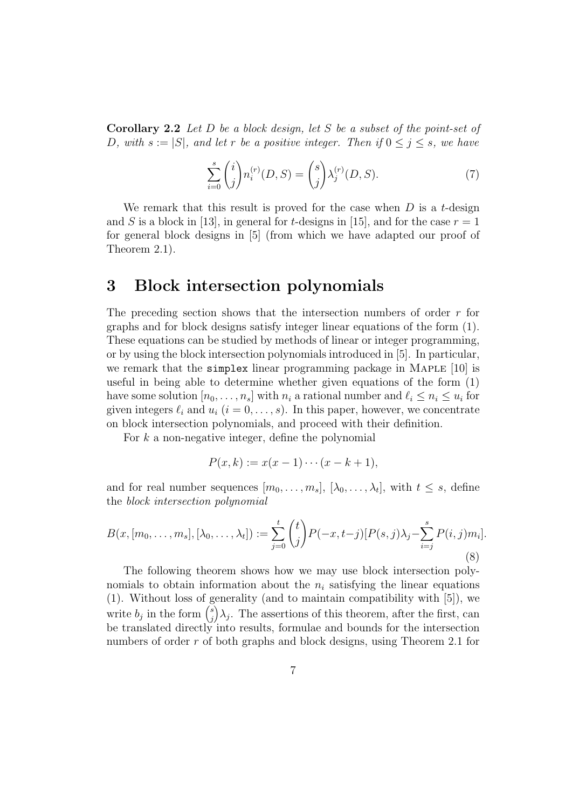Corollary 2.2 Let D be a block design, let S be a subset of the point-set of D, with  $s := |S|$ , and let r be a positive integer. Then if  $0 \le j \le s$ , we have

$$
\sum_{i=0}^{s} {i \choose j} n_i^{(r)}(D, S) = {s \choose j} \lambda_j^{(r)}(D, S).
$$
 (7)

We remark that this result is proved for the case when  $D$  is a t-design and S is a block in [13], in general for t-designs in [15], and for the case  $r = 1$ for general block designs in [5] (from which we have adapted our proof of Theorem 2.1).

### 3 Block intersection polynomials

The preceding section shows that the intersection numbers of order r for graphs and for block designs satisfy integer linear equations of the form (1). These equations can be studied by methods of linear or integer programming, or by using the block intersection polynomials introduced in [5]. In particular, we remark that the **simplex** linear programming package in MAPLE [10] is useful in being able to determine whether given equations of the form (1) have some solution  $[n_0, \ldots, n_s]$  with  $n_i$  a rational number and  $\ell_i \leq n_i \leq u_i$  for given integers  $\ell_i$  and  $u_i$   $(i = 0, \ldots, s)$ . In this paper, however, we concentrate on block intersection polynomials, and proceed with their definition.

For  $k$  a non-negative integer, define the polynomial

$$
P(x,k) := x(x-1)\cdots(x-k+1),
$$

and for real number sequences  $[m_0, \ldots, m_s], [\lambda_0, \ldots, \lambda_t],$  with  $t \leq s$ , define the block intersection polynomial

$$
B(x, [m_0, \dots, m_s], [\lambda_0, \dots, \lambda_t]) := \sum_{j=0}^t {t \choose j} P(-x, t-j) [P(s, j)\lambda_j - \sum_{i=j}^s P(i, j)m_i].
$$
\n(8)

The following theorem shows how we may use block intersection polynomials to obtain information about the  $n_i$  satisfying the linear equations (1). Without loss of generality (and to maintain compatibility with [5]), we write  $b_j$  in the form  $\binom{s}{i}$ j  $(\lambda_j)$ . The assertions of this theorem, after the first, can be translated directly into results, formulae and bounds for the intersection numbers of order r of both graphs and block designs, using Theorem 2.1 for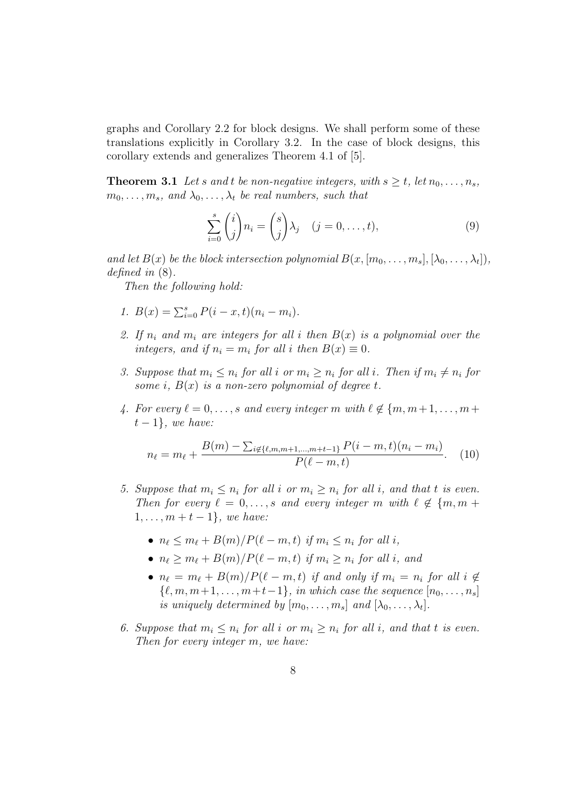graphs and Corollary 2.2 for block designs. We shall perform some of these translations explicitly in Corollary 3.2. In the case of block designs, this corollary extends and generalizes Theorem 4.1 of [5].

**Theorem 3.1** Let s and t be non-negative integers, with  $s \geq t$ , let  $n_0, \ldots, n_s$ ,  $m_0, \ldots, m_s$ , and  $\lambda_0, \ldots, \lambda_t$  be real numbers, such that

$$
\sum_{i=0}^{s} {i \choose j} n_i = {s \choose j} \lambda_j \quad (j = 0, \dots, t),
$$
\n(9)

and let  $B(x)$  be the block intersection polynomial  $B(x,[m_0,\ldots,m_s],[\lambda_0,\ldots,\lambda_t]),$ defined in (8).

Then the following hold:

- 1.  $B(x) = \sum_{i=0}^{s} P(i x, t)(n_i m_i)$ .
- 2. If  $n_i$  and  $m_i$  are integers for all i then  $B(x)$  is a polynomial over the integers, and if  $n_i = m_i$  for all i then  $B(x) \equiv 0$ .
- 3. Suppose that  $m_i \leq n_i$  for all i or  $m_i \geq n_i$  for all i. Then if  $m_i \neq n_i$  for some i,  $B(x)$  is a non-zero polynomial of degree t.
- 4. For every  $\ell = 0, \ldots, s$  and every integer m with  $\ell \notin \{m, m+1, \ldots, m+\ell\}$  $t-1$ , we have:

$$
n_{\ell} = m_{\ell} + \frac{B(m) - \sum_{i \notin \{\ell, m, m+1, \dots, m+t-1\}} P(i-m, t)(n_i - m_i)}{P(\ell - m, t)}.
$$
 (10)

- 5. Suppose that  $m_i \leq n_i$  for all i or  $m_i \geq n_i$  for all i, and that t is even. Then for every  $\ell = 0, \ldots, s$  and every integer m with  $\ell \notin \{m, m + \ell, m\}$  $1, \ldots, m + t - 1$ , we have:
	- $n_{\ell} \leq m_{\ell} + B(m)/P(\ell m, t)$  if  $m_i \leq n_i$  for all i,
	- $n_{\ell} > m_{\ell} + B(m)/P(\ell m, t)$  if  $m_i > n_i$  for all i, and
	- $n_{\ell} = m_{\ell} + B(m)/P(\ell m, t)$  if and only if  $m_i = n_i$  for all  $i \notin$  $\{\ell, m, m+1, \ldots, m+t-1\},$  in which case the sequence  $[n_0, \ldots, n_s]$ is uniquely determined by  $[m_0, \ldots, m_s]$  and  $[\lambda_0, \ldots, \lambda_t]$ .
- 6. Suppose that  $m_i \leq n_i$  for all i or  $m_i \geq n_i$  for all i, and that t is even. Then for every integer m, we have: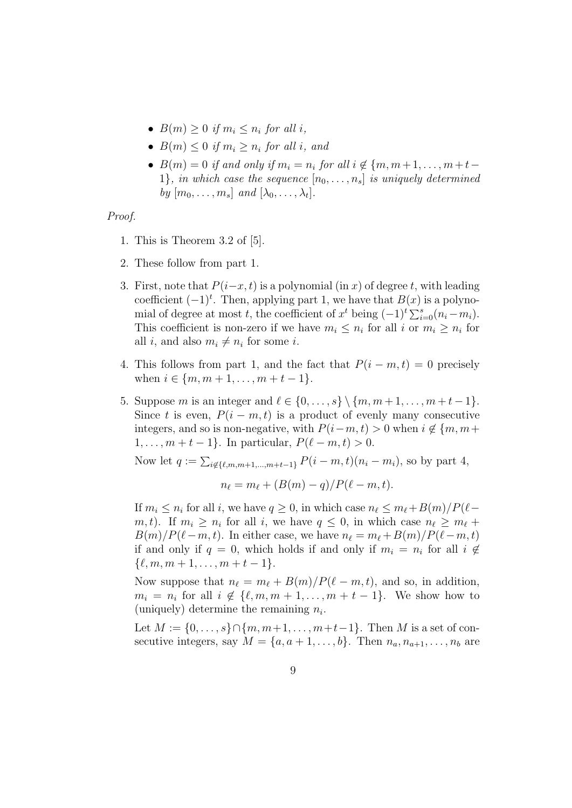- $B(m) > 0$  if  $m_i \leq n_i$  for all i,
- $B(m) \leq 0$  if  $m_i > n_i$  for all i, and
- $B(m) = 0$  if and only if  $m_i = n_i$  for all  $i \notin \{m, m+1, \ldots, m+t-1\}$ 1}, in which case the sequence  $[n_0, \ldots, n_s]$  is uniquely determined by  $[m_0, \ldots, m_s]$  and  $[\lambda_0, \ldots, \lambda_t]$ .

#### Proof.

- 1. This is Theorem 3.2 of [5].
- 2. These follow from part 1.
- 3. First, note that  $P(i-x, t)$  is a polynomial (in x) of degree t, with leading coefficient  $(-1)^t$ . Then, applying part 1, we have that  $B(x)$  is a polynomial of degree at most t, the coefficient of  $x^t$  being  $(-1)^t \sum_{i=0}^{s} (n_i - m_i)$ . This coefficient is non-zero if we have  $m_i \leq n_i$  for all i or  $m_i \geq n_i$  for all *i*, and also  $m_i \neq n_i$  for some *i*.
- 4. This follows from part 1, and the fact that  $P(i m, t) = 0$  precisely when  $i \in \{m, m+1, \ldots, m+t-1\}$ .
- 5. Suppose m is an integer and  $\ell \in \{0, ..., s\} \setminus \{m, m + 1, ..., m + t 1\}.$ Since t is even,  $P(i - m, t)$  is a product of evenly many consecutive integers, and so is non-negative, with  $P(i-m, t) > 0$  when  $i \notin \{m, m+\}$ 1, ...,  $m + t - 1$ . In particular,  $P(\ell - m, t) > 0$ .

Now let 
$$
q := \sum_{i \notin \{\ell, m, m+1, \ldots, m+t-1\}} P(i-m, t)(n_i - m_i)
$$
, so by part 4,

$$
n_{\ell} = m_{\ell} + (B(m) - q)/P(\ell - m, t).
$$

If  $m_i \leq n_i$  for all i, we have  $q \geq 0$ , in which case  $n_\ell \leq m_\ell+B(m)/P(\ell (m, t)$ . If  $m_i \geq n_i$  for all i, we have  $q \leq 0$ , in which case  $n_\ell \geq m_\ell +$  $B(m)/P(\ell-m, t)$ . In either case, we have  $n_{\ell} = m_{\ell} + B(m)/P(\ell-m, t)$ if and only if  $q = 0$ , which holds if and only if  $m_i = n_i$  for all  $i \notin$  $\{\ell, m, m + 1, \ldots, m + t - 1\}.$ 

Now suppose that  $n_\ell = m_\ell + B(m)/P(\ell - m, t)$ , and so, in addition,  $m_i = n_i$  for all  $i \notin \{\ell, m, m + 1, \ldots, m + t - 1\}$ . We show how to (uniquely) determine the remaining  $n_i$ .

Let  $M := \{0, \ldots, s\} \cap \{m, m+1, \ldots, m+t-1\}$ . Then M is a set of consecutive integers, say  $M = \{a, a+1, \ldots, b\}$ . Then  $n_a, n_{a+1}, \ldots, n_b$  are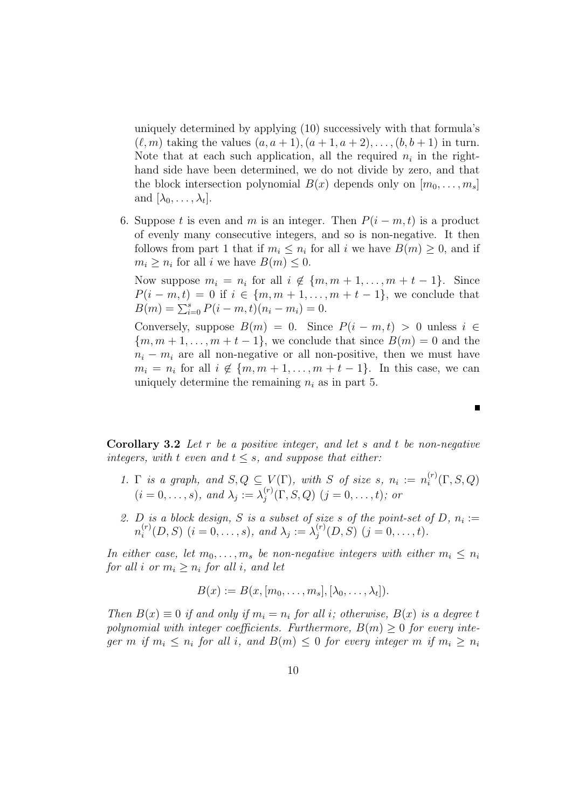uniquely determined by applying (10) successively with that formula's  $(\ell, m)$  taking the values  $(a, a + 1), (a + 1, a + 2), \ldots, (b, b + 1)$  in turn. Note that at each such application, all the required  $n_i$  in the righthand side have been determined, we do not divide by zero, and that the block intersection polynomial  $B(x)$  depends only on  $[m_0, \ldots, m_s]$ and  $[\lambda_0, \ldots, \lambda_t].$ 

6. Suppose t is even and m is an integer. Then  $P(i - m, t)$  is a product of evenly many consecutive integers, and so is non-negative. It then follows from part 1 that if  $m_i \leq n_i$  for all i we have  $B(m) \geq 0$ , and if  $m_i \geq n_i$  for all *i* we have  $B(m) \leq 0$ .

Now suppose  $m_i = n_i$  for all  $i \notin \{m, m + 1, \ldots, m + t - 1\}$ . Since  $P(i - m, t) = 0$  if  $i \in \{m, m + 1, ..., m + t - 1\}$ , we conclude that  $B(m) = \sum_{i=0}^{s} P(i-m, t)(n_i - m_i) = 0.$ 

Conversely, suppose  $B(m) = 0$ . Since  $P(i - m, t) > 0$  unless  $i \in$  ${m, m+1, \ldots, m+t-1}$ , we conclude that since  $B(m) = 0$  and the  $n_i - m_i$  are all non-negative or all non-positive, then we must have  $m_i = n_i$  for all  $i \notin \{m, m + 1, \ldots, m + t - 1\}$ . In this case, we can uniquely determine the remaining  $n_i$  as in part 5.

**Corollary 3.2** Let  $r$  be a positive integer, and let  $s$  and  $t$  be non-negative integers, with t even and  $t \leq s$ , and suppose that either:

- 1.  $\Gamma$  is a graph, and  $S, Q \subseteq V(\Gamma)$ , with S of size s,  $n_i := n_i^{(r)}$  $\binom{r}{i}(\Gamma,S,Q)$  $(i = 0, \ldots, s)$ , and  $\lambda_j := \lambda_j^{(r)}$  $j^{(r)}(\Gamma, S, Q)$   $(j = 0, \ldots, t)$ ; or
- 2. D is a block design, S is a subset of size s of the point-set of D,  $n_i :=$  $n_i^{(r)}$  $i_i^{(r)}(D, S)$   $(i = 0, \ldots, s)$ , and  $\lambda_j := \lambda_j^{(r)}$  $j^{(r)}(D, S)$   $(j = 0, \ldots, t)$ .

In either case, let  $m_0, \ldots, m_s$  be non-negative integers with either  $m_i \leq n_i$ for all i or  $m_i \geq n_i$  for all i, and let

$$
B(x) := B(x, [m_0, \ldots, m_s], [\lambda_0, \ldots, \lambda_t]).
$$

Then  $B(x) \equiv 0$  if and only if  $m_i = n_i$  for all i; otherwise,  $B(x)$  is a degree t polynomial with integer coefficients. Furthermore,  $B(m) \geq 0$  for every integer m if  $m_i \leq n_i$  for all i, and  $B(m) \leq 0$  for every integer m if  $m_i \geq n_i$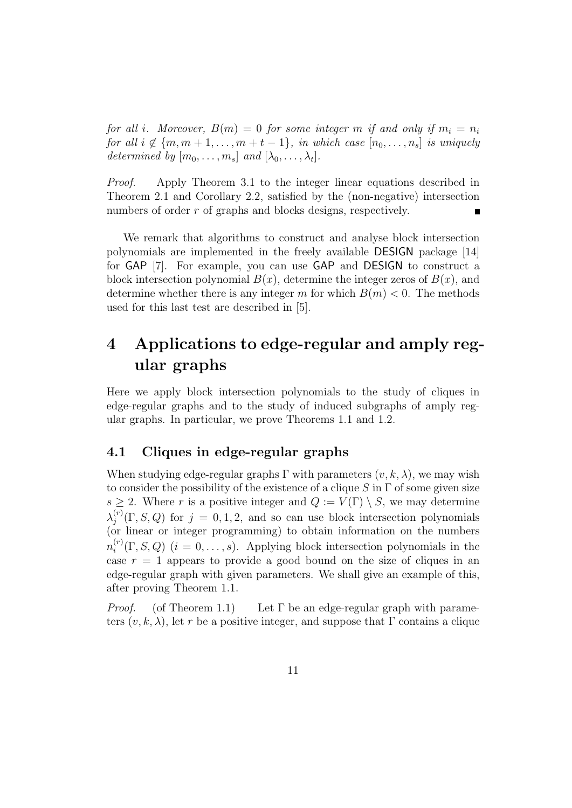for all i. Moreover,  $B(m) = 0$  for some integer m if and only if  $m_i = n_i$ for all  $i \notin \{m, m+1, \ldots, m+t-1\}$ , in which case  $[n_0, \ldots, n_s]$  is uniquely determined by  $[m_0, \ldots, m_s]$  and  $[\lambda_0, \ldots, \lambda_t]$ .

Proof. Apply Theorem 3.1 to the integer linear equations described in Theorem 2.1 and Corollary 2.2, satisfied by the (non-negative) intersection numbers of order r of graphs and blocks designs, respectively.

We remark that algorithms to construct and analyse block intersection polynomials are implemented in the freely available DESIGN package [14] for GAP [7]. For example, you can use GAP and DESIGN to construct a block intersection polynomial  $B(x)$ , determine the integer zeros of  $B(x)$ , and determine whether there is any integer m for which  $B(m) < 0$ . The methods used for this last test are described in [5].

## 4 Applications to edge-regular and amply regular graphs

Here we apply block intersection polynomials to the study of cliques in edge-regular graphs and to the study of induced subgraphs of amply regular graphs. In particular, we prove Theorems 1.1 and 1.2.

### 4.1 Cliques in edge-regular graphs

When studying edge-regular graphs  $\Gamma$  with parameters  $(v, k, \lambda)$ , we may wish to consider the possibility of the existence of a clique S in  $\Gamma$  of some given size  $s \geq 2$ . Where r is a positive integer and  $Q := V(\Gamma) \setminus S$ , we may determine  $\lambda_i^{(r)}$  $j^{(r)}(\Gamma, S, Q)$  for  $j = 0, 1, 2$ , and so can use block intersection polynomials (or linear or integer programming) to obtain information on the numbers  $n_i^{(r)}$  $i^{(r)}(\Gamma, S, Q)$   $(i = 0, \ldots, s)$ . Applying block intersection polynomials in the case  $r = 1$  appears to provide a good bound on the size of cliques in an edge-regular graph with given parameters. We shall give an example of this, after proving Theorem 1.1.

*Proof.* (of Theorem 1.1) Let  $\Gamma$  be an edge-regular graph with parameters  $(v, k, \lambda)$ , let r be a positive integer, and suppose that  $\Gamma$  contains a clique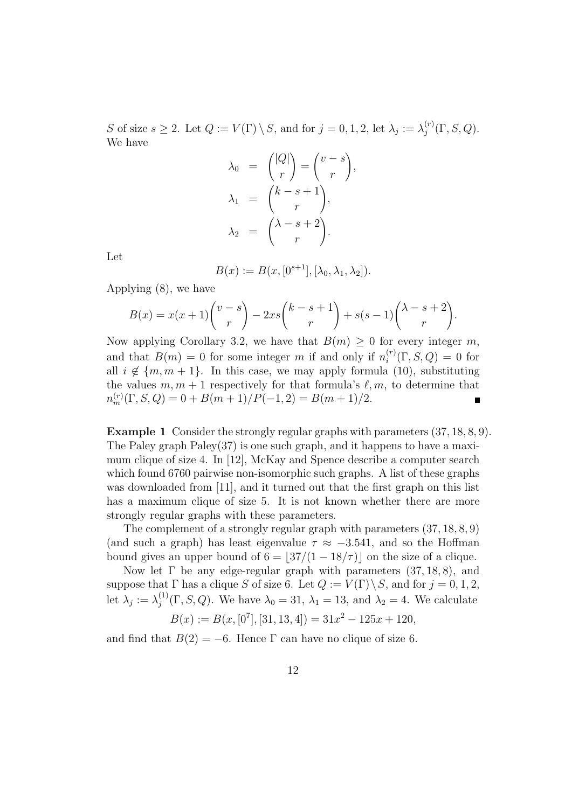S of size  $s \geq 2$ . Let  $Q := V(\Gamma) \setminus S$ , and for  $j = 0, 1, 2$ , let  $\lambda_j := \lambda_j^{(r)}$  $j^{(r)}(\Gamma, S, Q).$ We have

$$
\lambda_0 = \binom{|Q|}{r} = \binom{v-s}{r},
$$
  
\n
$$
\lambda_1 = \binom{k-s+1}{r},
$$
  
\n
$$
\lambda_2 = \binom{\lambda-s+2}{r}.
$$

Let

$$
B(x) := B(x, [0^{s+1}], [\lambda_0, \lambda_1, \lambda_2]).
$$

Applying (8), we have

$$
B(x) = x(x+1)\binom{v-s}{r} - 2xs\binom{k-s+1}{r} + s(s-1)\binom{\lambda-s+2}{r}.
$$

Now applying Corollary 3.2, we have that  $B(m) \geq 0$  for every integer m, and that  $B(m) = 0$  for some integer m if and only if  $n_i^{(r)}$  $i_i^{(r)}(\Gamma, S, Q) = 0$  for all  $i \notin \{m, m + 1\}$ . In this case, we may apply formula (10), substituting the values  $m, m + 1$  respectively for that formula's  $\ell, m$ , to determine that  $n_m^{(r)}(\Gamma, S, Q) = 0 + B(m+1)/P(-1, 2) = B(m+1)/2.$ 

Example 1 Consider the strongly regular graphs with parameters (37, 18, 8, 9). The Paley graph  $Paley(37)$  is one such graph, and it happens to have a maximum clique of size 4. In [12], McKay and Spence describe a computer search which found 6760 pairwise non-isomorphic such graphs. A list of these graphs was downloaded from [11], and it turned out that the first graph on this list has a maximum clique of size 5. It is not known whether there are more strongly regular graphs with these parameters.

The complement of a strongly regular graph with parameters (37, 18, 8, 9) (and such a graph) has least eigenvalue  $\tau \approx -3.541$ , and so the Hoffman bound gives an upper bound of  $6 = |37/(1 - 18/\tau)|$  on the size of a clique.

Now let  $\Gamma$  be any edge-regular graph with parameters  $(37, 18, 8)$ , and suppose that  $\Gamma$  has a clique S of size 6. Let  $Q := V(\Gamma) \setminus S$ , and for  $j = 0, 1, 2$ , let  $\lambda_j := \lambda_j^{(1)}$  $\lambda_j^{(1)}(\Gamma, S, Q)$ . We have  $\lambda_0 = 31$ ,  $\lambda_1 = 13$ , and  $\lambda_2 = 4$ . We calculate

$$
B(x) := B(x, [07], [31, 13, 4]) = 31x2 - 125x + 120,
$$

and find that  $B(2) = -6$ . Hence  $\Gamma$  can have no clique of size 6.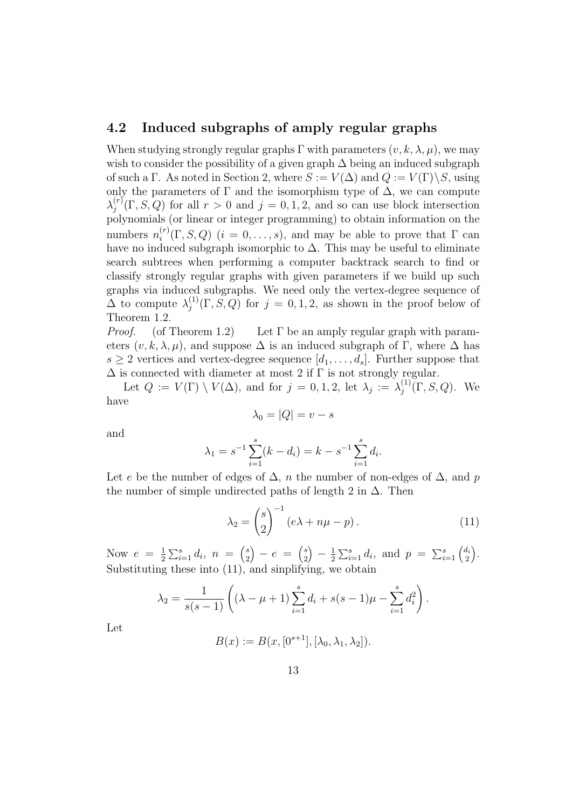### 4.2 Induced subgraphs of amply regular graphs

When studying strongly regular graphs  $\Gamma$  with parameters  $(v, k, \lambda, \mu)$ , we may wish to consider the possibility of a given graph  $\Delta$  being an induced subgraph of such a Γ. As noted in Section 2, where  $S := V(\Delta)$  and  $Q := V(\Gamma) \backslash S$ , using only the parameters of  $\Gamma$  and the isomorphism type of  $\Delta$ , we can compute  $\lambda_i^{(r)}$  $j^{(r)}(\Gamma, S, Q)$  for all  $r > 0$  and  $j = 0, 1, 2$ , and so can use block intersection polynomials (or linear or integer programming) to obtain information on the numbers  $n_i^{(r)}$  $i^{(r)}(\Gamma, S, Q)$   $(i = 0, \ldots, s)$ , and may be able to prove that  $\Gamma$  can have no induced subgraph isomorphic to  $\Delta$ . This may be useful to eliminate search subtrees when performing a computer backtrack search to find or classify strongly regular graphs with given parameters if we build up such graphs via induced subgraphs. We need only the vertex-degree sequence of  $\Delta$  to compute  $\lambda_i^{(1)}$  $j^{(1)}(\Gamma, S, Q)$  for  $j = 0, 1, 2$ , as shown in the proof below of Theorem 1.2.

*Proof.* (of Theorem 1.2) Let  $\Gamma$  be an amply regular graph with parameters  $(v, k, \lambda, \mu)$ , and suppose  $\Delta$  is an induced subgraph of Γ, where  $\Delta$  has  $s \geq 2$  vertices and vertex-degree sequence  $[d_1, \ldots, d_s]$ . Further suppose that  $\Delta$  is connected with diameter at most 2 if  $\Gamma$  is not strongly regular.

Let  $Q := V(\Gamma) \setminus V(\Delta)$ , and for  $j = 0, 1, 2$ , let  $\lambda_j := \lambda_j^{(1)}$  $j^{(1)}(\Gamma, S, Q)$ . We have

$$
\lambda_0 = |Q| = v - s
$$

and

$$
\lambda_1 = s^{-1} \sum_{i=1}^s (k - d_i) = k - s^{-1} \sum_{i=1}^s d_i.
$$

Let e be the number of edges of  $\Delta$ , n the number of non-edges of  $\Delta$ , and p the number of simple undirected paths of length 2 in  $\Delta$ . Then

$$
\lambda_2 = \binom{s}{2}^{-1} (e\lambda + n\mu - p). \tag{11}
$$

Now  $e = \frac{1}{2}$  $\frac{1}{2}\sum_{i=1}^{s} d_i, n = {s \choose 2}$ 2  $\bigg) - e = \bigg( \begin{matrix} s \\ 2 \end{matrix} \bigg)$ 2  $-1$  $\frac{1}{2} \sum_{i=1}^{s} d_i$ , and  $p = \sum_{i=1}^{s} \binom{d_i}{2}$ 2 . Substituting these into (11), and sinplifying, we obtain

$$
\lambda_2 = \frac{1}{s(s-1)} \left( (\lambda - \mu + 1) \sum_{i=1}^s d_i + s(s-1)\mu - \sum_{i=1}^s d_i^2 \right).
$$

Let

$$
B(x) := B(x, [0^{s+1}], [\lambda_0, \lambda_1, \lambda_2]).
$$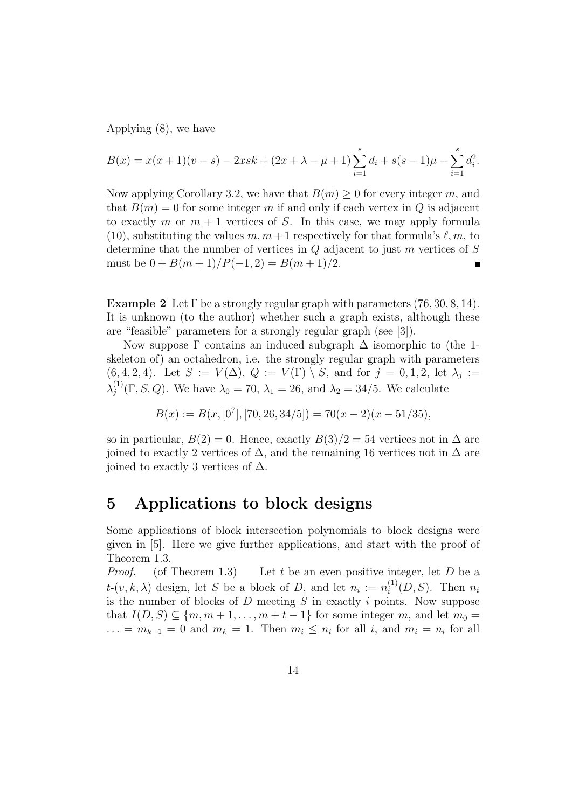Applying (8), we have

$$
B(x) = x(x+1)(v-s) - 2xsk + (2x + \lambda - \mu + 1) \sum_{i=1}^{s} d_i + s(s-1)\mu - \sum_{i=1}^{s} d_i^2.
$$

Now applying Corollary 3.2, we have that  $B(m) \geq 0$  for every integer m, and that  $B(m) = 0$  for some integer m if and only if each vertex in Q is adjacent to exactly m or  $m + 1$  vertices of S. In this case, we may apply formula (10), substituting the values  $m, m+1$  respectively for that formula's  $\ell, m$ , to determine that the number of vertices in  $Q$  adjacent to just  $m$  vertices of  $S$ must be  $0 + B(m + 1)/P(-1, 2) = B(m + 1)/2$ .

**Example 2** Let  $\Gamma$  be a strongly regular graph with parameters  $(76, 30, 8, 14)$ . It is unknown (to the author) whether such a graph exists, although these are "feasible" parameters for a strongly regular graph (see [3]).

Now suppose  $\Gamma$  contains an induced subgraph  $\Delta$  isomorphic to (the 1skeleton of) an octahedron, i.e. the strongly regular graph with parameters  $(6, 4, 2, 4)$ . Let  $S := V(\Delta)$ ,  $Q := V(\Gamma) \setminus S$ , and for  $j = 0, 1, 2$ , let  $\lambda_j :=$  $\lambda_i^{(1)}$  $\lambda_j^{(1)}(\Gamma, S, Q)$ . We have  $\lambda_0 = 70$ ,  $\lambda_1 = 26$ , and  $\lambda_2 = 34/5$ . We calculate

$$
B(x) := B(x, [0^7], [70, 26, 34/5]) = 70(x - 2)(x - 51/35),
$$

so in particular,  $B(2) = 0$ . Hence, exactly  $B(3)/2 = 54$  vertices not in  $\Delta$  are joined to exactly 2 vertices of  $\Delta$ , and the remaining 16 vertices not in  $\Delta$  are joined to exactly 3 vertices of  $\Delta$ .

## 5 Applications to block designs

Some applications of block intersection polynomials to block designs were given in [5]. Here we give further applications, and start with the proof of Theorem 1.3.

*Proof.* (of Theorem 1.3) Let t be an even positive integer, let D be a  $t\text{-}(v, k, \lambda)$  design, let S be a block of D, and let  $n_i := n_i^{(1)}$  $i^{(1)}(D, S)$ . Then  $n_i$ is the number of blocks of  $D$  meeting  $S$  in exactly  $i$  points. Now suppose that  $I(D, S) \subseteq \{m, m+1, \ldots, m+t-1\}$  for some integer m, and let  $m_0 =$  $\dots = m_{k-1} = 0$  and  $m_k = 1$ . Then  $m_i \leq n_i$  for all i, and  $m_i = n_i$  for all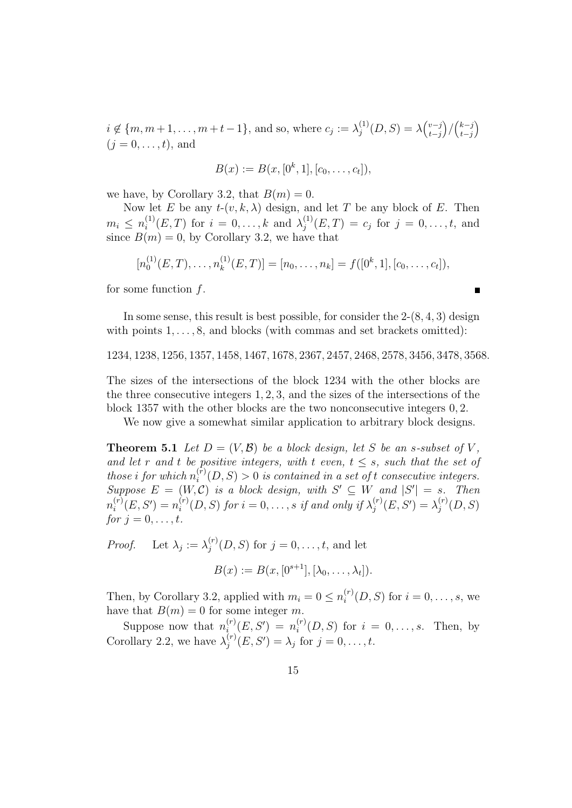$i \notin \{m, m+1, \ldots, m+t-1\}$ , and so, where  $c_j := \lambda_j^{(1)}$  $j^{(1)}(D, S) = \lambda {v-j \choose t-i}$ t−j  $\binom{k-j}{t-i}$ t−j )  $(i = 0, \ldots, t)$ , and

$$
B(x) := B(x, [0^k, 1], [c_0, \ldots, c_t]),
$$

we have, by Corollary 3.2, that  $B(m) = 0$ .

Now let E be any  $t-(v, k, \lambda)$  design, and let T be any block of E. Then  $m_i \leq n_i^{(1)}$  $i^{(1)}(E,T)$  for  $i = 0, ..., k$  and  $\lambda_j^{(1)}$  $j^{(1)}(E,T) = c_j \text{ for } j = 0,\ldots,t, \text{ and}$ since  $B(m) = 0$ , by Corollary 3.2, we have that

$$
[n_0^{(1)}(E,T),\ldots,n_k^{(1)}(E,T)]=[n_0,\ldots,n_k]=f([0^k,1],[c_0,\ldots,c_t]),
$$

П

for some function  $f$ .

In some sense, this result is best possible, for consider the  $2-(8, 4, 3)$  design with points  $1, \ldots, 8$ , and blocks (with commas and set brackets omitted):

1234, 1238, 1256, 1357, 1458, 1467, 1678, 2367, 2457, 2468, 2578, 3456, 3478, 3568.

The sizes of the intersections of the block 1234 with the other blocks are the three consecutive integers 1, 2, 3, and the sizes of the intersections of the block 1357 with the other blocks are the two nonconsecutive integers 0, 2.

We now give a somewhat similar application to arbitrary block designs.

**Theorem 5.1** Let  $D = (V, \mathcal{B})$  be a block design, let S be an s-subset of V, and let r and t be positive integers, with t even,  $t \leq s$ , such that the set of those i for which  $n_i^{(\bar{r})}$  $i^{(r)}(D, S) > 0$  is contained in a set of t consecutive integers. Suppose  $E = (W, \mathcal{C})$  is a block design, with  $S' \subseteq W$  and  $|S'| = s$ . Then  $n_i^{(r)}$  $i^{(r)}(E, S') = n_i^{(r)}$  $i_i^{(r)}(D,S)$  for  $i=0,\ldots,s$  if and only if  $\lambda_j^{(r)}$  $j^{(r)}(E,S')=\lambda_j^{(r)}$  $j^{(r)}(D,S)$ for  $j = 0, \ldots, t$ .

*Proof.* Let  $\lambda_j := \lambda_j^{(r)}$  $j^{(r)}(D, S)$  for  $j = 0, \ldots, t$ , and let

$$
B(x) := B(x, [0^{s+1}], [\lambda_0, \dots, \lambda_t]).
$$

Then, by Corollary 3.2, applied with  $m_i = 0 \leq n_i^{(r)}$  $i_i^{(r)}(D, S)$  for  $i = 0, ..., s$ , we have that  $B(m) = 0$  for some integer m.

Suppose now that  $n_i^{(r)}$  $\mathcal{E}_i^{(r)}(E,S')~=~n_i^{(r)}$  $i_i^{(r)}(D, S)$  for  $i = 0, \ldots, s$ . Then, by Corollary 2.2, we have  $\lambda_i^{(r)}$  $j^{(r)}(E, S') = \lambda_j \text{ for } j = 0, ..., t.$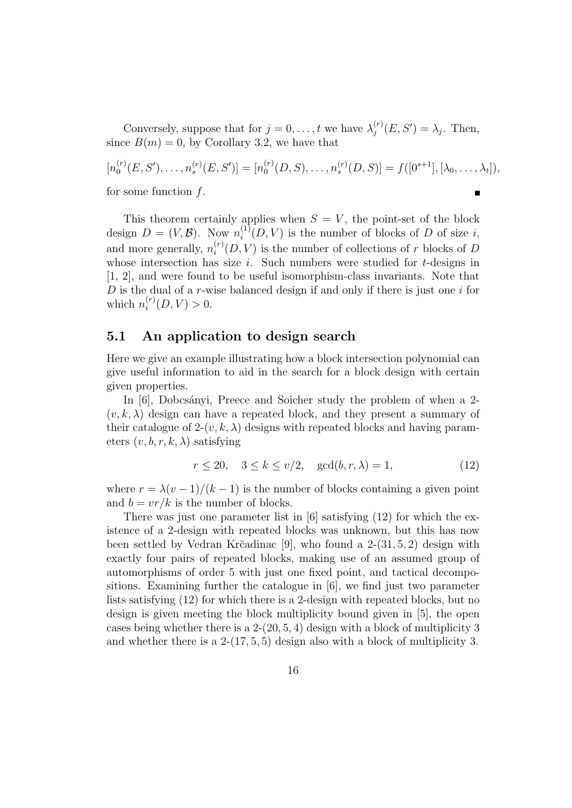Conversely, suppose that for  $j = 0, \ldots, t$  we have  $\lambda_j^{(r)}$  $j^{(r)}(E, S') = \lambda_j$ . Then, since  $B(m) = 0$ , by Corollary 3.2, we have that

 $[n_0^{(r)}]$  $\mathcal{O}_0^{(r)}(E,S'),\ldots,\mathcal{O}_s^{(r)}(E,S')]=[n_0^{(r)}]$  $\mathcal{O}_0^{(r)}(D,S), \ldots, \mathcal{O}_s^{(r)}(D,S)] = f([0^{s+1}], [\lambda_0, \ldots, \lambda_t]),$ for some function  $f$ .  $\blacksquare$ 

This theorem certainly applies when  $S = V$ , the point-set of the block design  $D = (V, \mathcal{B})$ . Now  $n_i^{(1)}$  $i^{(1)}(D, V)$  is the number of blocks of D of size i, and more generally,  $n_i^{(r)}$  $i^{(r)}(D, V)$  is the number of collections of r blocks of D whose intersection has size  $i$ . Such numbers were studied for  $t$ -designs in [1, 2], and were found to be useful isomorphism-class invariants. Note that D is the dual of a r-wise balanced design if and only if there is just one  $i$  for which  $n_i^{(r)}$  $i^{(r)}(D, V) > 0.$ 

#### 5.1 An application to design search

Here we give an example illustrating how a block intersection polynomial can give useful information to aid in the search for a block design with certain given properties.

In [6], Dobcsányi, Preece and Soicher study the problem of when a 2- $(v, k, \lambda)$  design can have a repeated block, and they present a summary of their catalogue of  $2-(v, k, \lambda)$  designs with repeated blocks and having parameters  $(v, b, r, k, \lambda)$  satisfying

$$
r \le 20, \quad 3 \le k \le \nu/2, \quad \gcd(b, r, \lambda) = 1,\tag{12}
$$

where  $r = \lambda(v-1)/(k-1)$  is the number of blocks containing a given point and  $b = v r / k$  is the number of blocks.

There was just one parameter list in [6] satisfying (12) for which the existence of a 2-design with repeated blocks was unknown, but this has now been settled by Vedran Kr $\check{c}$ adinac [9], who found a 2-(31, 5, 2) design with exactly four pairs of repeated blocks, making use of an assumed group of automorphisms of order 5 with just one fixed point, and tactical decompositions. Examining further the catalogue in [6], we find just two parameter lists satisfying (12) for which there is a 2-design with repeated blocks, but no design is given meeting the block multiplicity bound given in [5], the open cases being whether there is a 2-(20, 5, 4) design with a block of multiplicity 3 and whether there is a  $2-(17, 5, 5)$  design also with a block of multiplicity 3.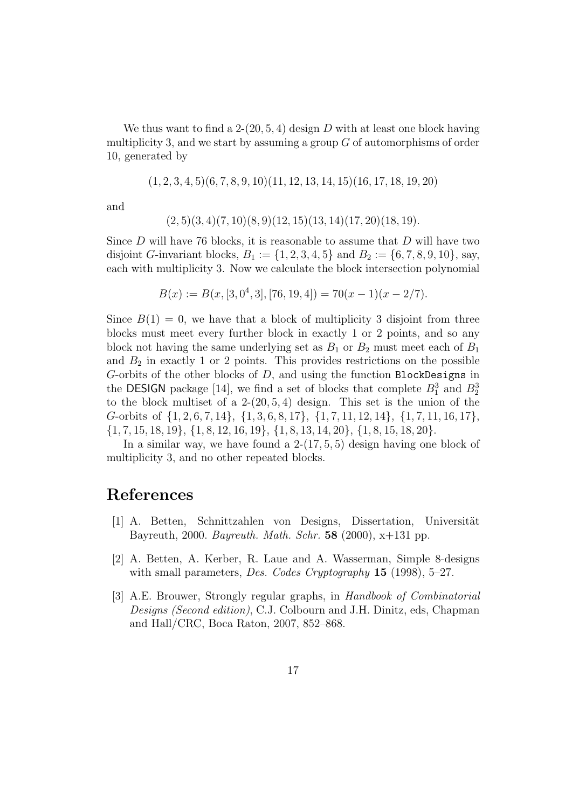We thus want to find a 2-(20, 5, 4) design D with at least one block having multiplicity 3, and we start by assuming a group  $G$  of automorphisms of order 10, generated by

 $(1, 2, 3, 4, 5)(6, 7, 8, 9, 10)(11, 12, 13, 14, 15)(16, 17, 18, 19, 20)$ 

and

$$
(2,5)(3,4)(7,10)(8,9)(12,15)(13,14)(17,20)(18,19).
$$

Since  $D$  will have 76 blocks, it is reasonable to assume that  $D$  will have two disjoint G-invariant blocks,  $B_1 := \{1, 2, 3, 4, 5\}$  and  $B_2 := \{6, 7, 8, 9, 10\}$ , say, each with multiplicity 3. Now we calculate the block intersection polynomial

$$
B(x) := B(x, [3, 0^4, 3], [76, 19, 4]) = 70(x - 1)(x - 2/7).
$$

Since  $B(1) = 0$ , we have that a block of multiplicity 3 disjoint from three blocks must meet every further block in exactly 1 or 2 points, and so any block not having the same underlying set as  $B_1$  or  $B_2$  must meet each of  $B_1$ and  $B_2$  in exactly 1 or 2 points. This provides restrictions on the possible G-orbits of the other blocks of  $D$ , and using the function BlockDesigns in the DESIGN package [14], we find a set of blocks that complete  $B_1^3$  and  $B_2^3$ to the block multiset of a  $2-(20, 5, 4)$  design. This set is the union of the G-orbits of {1, 2, 6, 7, 14}, {1, 3, 6, 8, 17}, {1, 7, 11, 12, 14}, {1, 7, 11, 16, 17},  $\{1, 7, 15, 18, 19\}, \{1, 8, 12, 16, 19\}, \{1, 8, 13, 14, 20\}, \{1, 8, 15, 18, 20\}.$ 

In a similar way, we have found a  $2-(17, 5, 5)$  design having one block of multiplicity 3, and no other repeated blocks.

### References

- [1] A. Betten, Schnittzahlen von Designs, Dissertation, Universität Bayreuth, 2000. Bayreuth. Math. Schr. 58 (2000),  $x+131$  pp.
- [2] A. Betten, A. Kerber, R. Laue and A. Wasserman, Simple 8-designs with small parameters, Des. Codes Cryptography  $15$  (1998), 5-27.
- [3] A.E. Brouwer, Strongly regular graphs, in Handbook of Combinatorial Designs (Second edition), C.J. Colbourn and J.H. Dinitz, eds, Chapman and Hall/CRC, Boca Raton, 2007, 852–868.